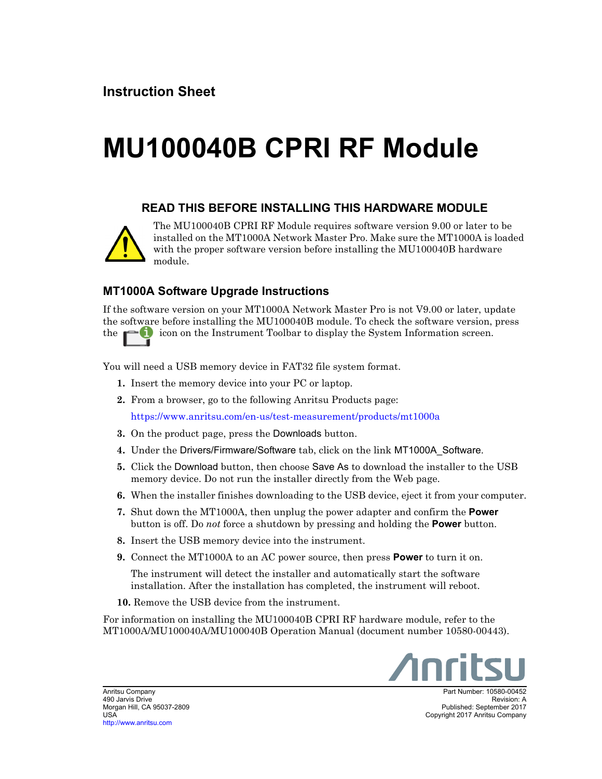## **MU100040B CPRI RF Module**

## **READ THIS BEFORE INSTALLING THIS HARDWARE MODULE**



The MU100040B CPRI RF Module requires software version 9.00 or later to be installed on the MT1000A Network Master Pro. Make sure the MT1000A is loaded with the proper software version before installing the MU100040B hardware module.

## **MT1000A Software Upgrade Instructions**

If the software version on your MT1000A Network Master Pro is not V9.00 or later, update the software before installing the MU100040B module. To check the software version, press the  $\Box$  icon on the Instrument Toolbar to display the System Information screen.

You will need a USB memory device in FAT32 file system format.

- **1.** Insert the memory device into your PC or laptop.
- **2.** From a browser, go to the following Anritsu Products page:

<https://www.anritsu.com/en-us/test-measurement/products/mt1000a>

- **3.** On the product page, press the Downloads button.
- **4.** Under the Drivers/Firmware/Software tab, click on the link MT1000A\_Software.
- **5.** Click the Download button, then choose Save As to download the installer to the USB memory device. Do not run the installer directly from the Web page.
- **6.** When the installer finishes downloading to the USB device, eject it from your computer.
- **7.** Shut down the MT1000A, then unplug the power adapter and confirm the **Power** button is off. Do *not* force a shutdown by pressing and holding the **Power** button.
- **8.** Insert the USB memory device into the instrument.
- **9.** Connect the MT1000A to an AC power source, then press **Power** to turn it on.

The instrument will detect the installer and automatically start the software installation. After the installation has completed, the instrument will reboot.

**10.** Remove the USB device from the instrument.

For information on installing the MU100040B CPRI RF hardware module, refer to the MT1000A/MU100040A/MU100040B Operation Manual (document number 10580-00443).



Part Number: 10580-00452 Revision: A Published: September 2017 Copyright 2017 Anritsu Company